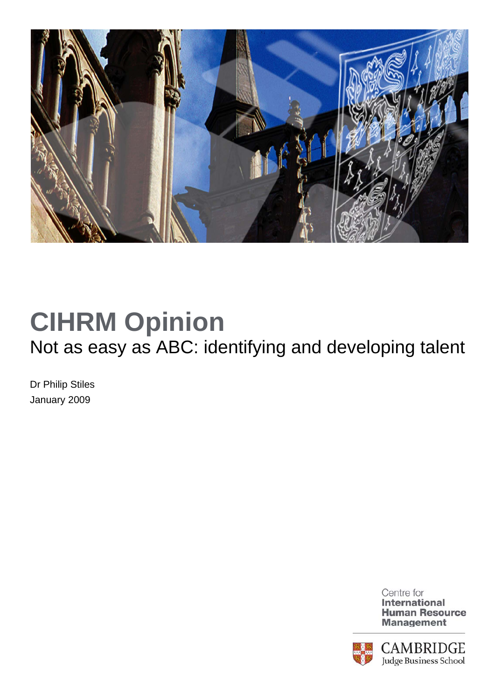

## **CIHRM Opinion**  Not as easy as ABC: identifying and developing talent

Dr Philip Stiles January 2009



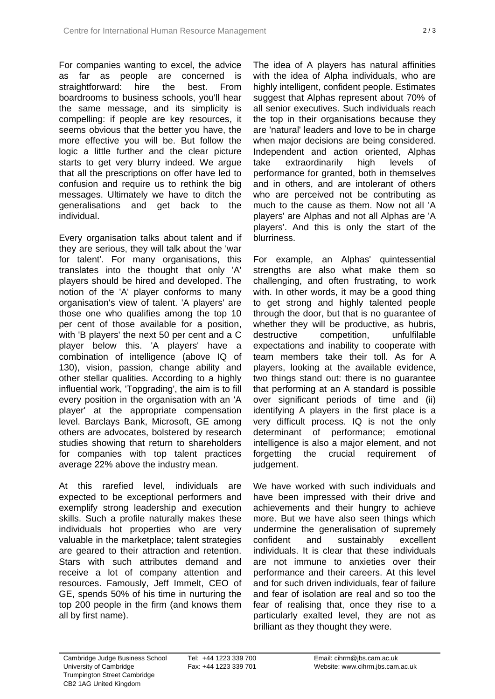For companies wanting to excel, the advice as far as people are concerned is straightforward: hire the best. From boardrooms to business schools, you'll hear the same message, and its simplicity is compelling: if people are key resources, it seems obvious that the better you have, the more effective you will be. But follow the logic a little further and the clear picture starts to get very blurry indeed. We argue that all the prescriptions on offer have led to confusion and require us to rethink the big messages. Ultimately we have to ditch the generalisations and get back to the individual.

Every organisation talks about talent and if they are serious, they will talk about the 'war for talent'. For many organisations, this translates into the thought that only 'A' players should be hired and developed. The notion of the 'A' player conforms to many organisation's view of talent. 'A players' are those one who qualifies among the top 10 per cent of those available for a position, with 'B players' the next 50 per cent and a C player below this. 'A players' have a combination of intelligence (above IQ of 130), vision, passion, change ability and other stellar qualities. According to a highly influential work, 'Topgrading', the aim is to fill every position in the organisation with an 'A player' at the appropriate compensation level. Barclays Bank, Microsoft, GE among others are advocates, bolstered by research studies showing that return to shareholders for companies with top talent practices average 22% above the industry mean.

At this rarefied level, individuals are expected to be exceptional performers and exemplify strong leadership and execution skills. Such a profile naturally makes these individuals hot properties who are very valuable in the marketplace; talent strategies are geared to their attraction and retention. Stars with such attributes demand and receive a lot of company attention and resources. Famously, Jeff Immelt, CEO of GE, spends 50% of his time in nurturing the top 200 people in the firm (and knows them all by first name).

The idea of A players has natural affinities with the idea of Alpha individuals, who are highly intelligent, confident people. Estimates suggest that Alphas represent about 70% of all senior executives. Such individuals reach the top in their organisations because they are 'natural' leaders and love to be in charge when major decisions are being considered. Independent and action oriented, Alphas take extraordinarily high levels of performance for granted, both in themselves and in others, and are intolerant of others who are perceived not be contributing as much to the cause as them. Now not all 'A players' are Alphas and not all Alphas are 'A players'. And this is only the start of the blurriness.

For example, an Alphas' quintessential strengths are also what make them so challenging, and often frustrating, to work with. In other words, it may be a good thing to get strong and highly talented people through the door, but that is no guarantee of whether they will be productive, as hubris, destructive competition, unfulfilable expectations and inability to cooperate with team members take their toll. As for A players, looking at the available evidence, two things stand out: there is no guarantee that performing at an A standard is possible over significant periods of time and (ii) identifying A players in the first place is a very difficult process. IQ is not the only determinant of performance; emotional intelligence is also a major element, and not forgetting the crucial requirement of judgement.

We have worked with such individuals and have been impressed with their drive and achievements and their hungry to achieve more. But we have also seen things which undermine the generalisation of supremely confident and sustainably excellent individuals. It is clear that these individuals are not immune to anxieties over their performance and their careers. At this level and for such driven individuals, fear of failure and fear of isolation are real and so too the fear of realising that, once they rise to a particularly exalted level, they are not as brilliant as they thought they were.